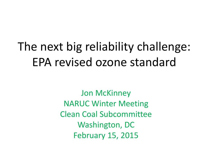# The next big reliability challenge: EPA revised ozone standard

Jon McKinney NARUC Winter Meeting Clean Coal Subcommittee Washington, DC February 15, 2015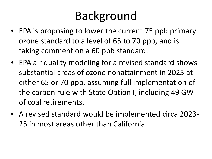# Background

- EPA is proposing to lower the current 75 ppb primary ozone standard to a level of 65 to 70 ppb, and is taking comment on a 60 ppb standard.
- EPA air quality modeling for a revised standard shows substantial areas of ozone nonattainment in 2025 at either 65 or 70 ppb, assuming full implementation of the carbon rule with State Option I, including 49 GW of coal retirements.
- A revised standard would be implemented circa 2023- 25 in most areas other than California.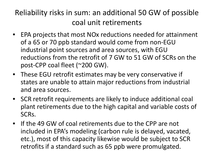#### Reliability risks in sum: an additional 50 GW of possible coal unit retirements

- EPA projects that most NOx reductions needed for attainment of a 65 or 70 ppb standard would come from non-EGU industrial point sources and area sources, with EGU reductions from the retrofit of 7 GW to 51 GW of SCRs on the post-CPP coal fleet (~200 GW).
- These EGU retrofit estimates may be very conservative if states are unable to attain major reductions from industrial and area sources.
- SCR retrofit requirements are likely to induce additional coal plant retirements due to the high capital and variable costs of SCRs.
- If the 49 GW of coal retirements due to the CPP are not included in EPA's modeling (carbon rule is delayed, vacated, etc.), most of this capacity likewise would be subject to SCR retrofits if a standard such as 65 ppb were promulgated.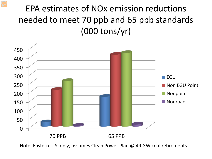### EPA estimates of NOx emission reductions needed to meet 70 ppb and 65 ppb standards (000 tons/yr)



Note: Eastern U.S. only; assumes Clean Power Plan @ 49 GW coal retirements.